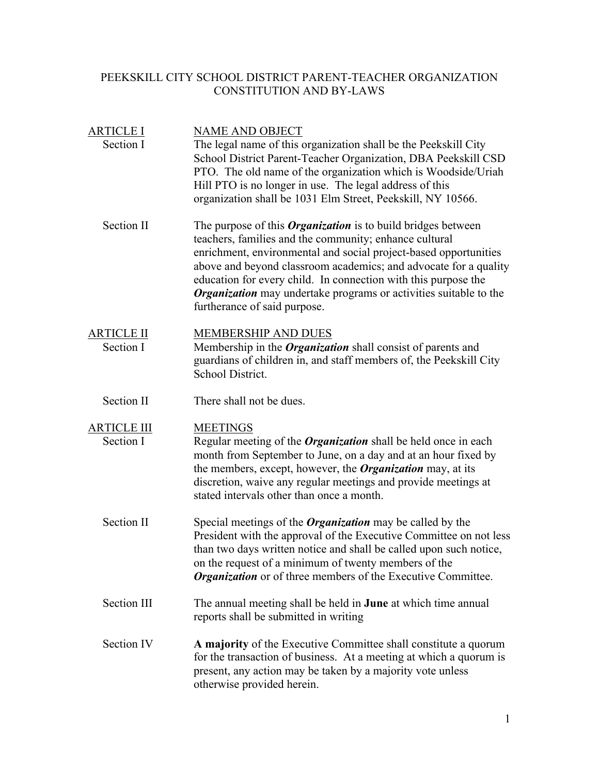## PEEKSKILL CITY SCHOOL DISTRICT PARENT-TEACHER ORGANIZATION CONSTITUTION AND BY-LAWS

| <b>ARTICLE I</b><br>Section I   | <b>NAME AND OBJECT</b><br>The legal name of this organization shall be the Peekskill City<br>School District Parent-Teacher Organization, DBA Peekskill CSD<br>PTO. The old name of the organization which is Woodside/Uriah<br>Hill PTO is no longer in use. The legal address of this<br>organization shall be 1031 Elm Street, Peekskill, NY 10566.                                                                                              |
|---------------------------------|-----------------------------------------------------------------------------------------------------------------------------------------------------------------------------------------------------------------------------------------------------------------------------------------------------------------------------------------------------------------------------------------------------------------------------------------------------|
| Section II                      | The purpose of this <i>Organization</i> is to build bridges between<br>teachers, families and the community; enhance cultural<br>enrichment, environmental and social project-based opportunities<br>above and beyond classroom academics; and advocate for a quality<br>education for every child. In connection with this purpose the<br><b>Organization</b> may undertake programs or activities suitable to the<br>furtherance of said purpose. |
| <b>ARTICLE II</b><br>Section I  | <b>MEMBERSHIP AND DUES</b><br>Membership in the <i>Organization</i> shall consist of parents and<br>guardians of children in, and staff members of, the Peekskill City<br>School District.                                                                                                                                                                                                                                                          |
| Section II                      | There shall not be dues.                                                                                                                                                                                                                                                                                                                                                                                                                            |
| <b>ARTICLE III</b><br>Section I | <b>MEETINGS</b><br>Regular meeting of the <i>Organization</i> shall be held once in each<br>month from September to June, on a day and at an hour fixed by<br>the members, except, however, the <b>Organization</b> may, at its<br>discretion, waive any regular meetings and provide meetings at<br>stated intervals other than once a month.                                                                                                      |
| Section II                      | Special meetings of the <b>Organization</b> may be called by the<br>President with the approval of the Executive Committee on not less<br>than two days written notice and shall be called upon such notice,<br>on the request of a minimum of twenty members of the<br><b>Organization</b> or of three members of the Executive Committee.                                                                                                         |
| Section III                     | The annual meeting shall be held in <b>June</b> at which time annual<br>reports shall be submitted in writing                                                                                                                                                                                                                                                                                                                                       |
| Section IV                      | A majority of the Executive Committee shall constitute a quorum<br>for the transaction of business. At a meeting at which a quorum is<br>present, any action may be taken by a majority vote unless<br>otherwise provided herein.                                                                                                                                                                                                                   |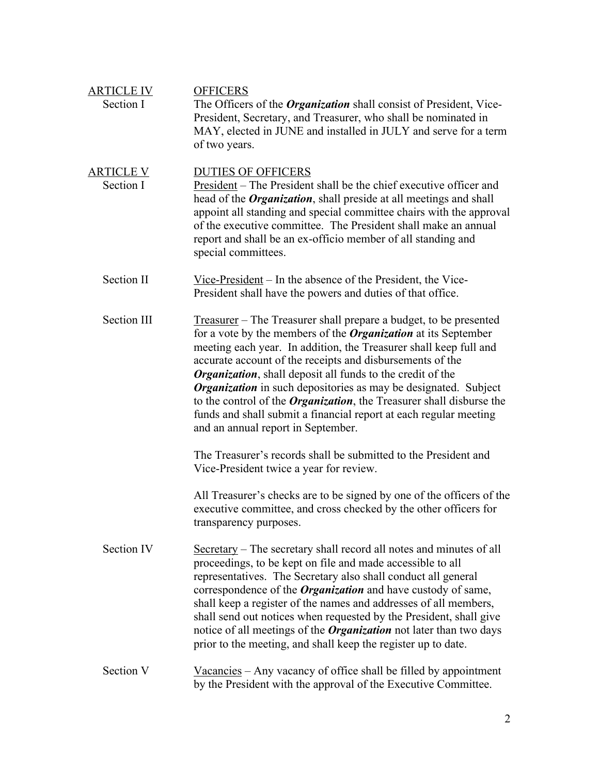| <b>ARTICLE IV</b><br>Section I | <b>OFFICERS</b><br>The Officers of the <i>Organization</i> shall consist of President, Vice-<br>President, Secretary, and Treasurer, who shall be nominated in<br>MAY, elected in JUNE and installed in JULY and serve for a term<br>of two years.                                                                                                                                                                                                                                                                                                                                                                             |
|--------------------------------|--------------------------------------------------------------------------------------------------------------------------------------------------------------------------------------------------------------------------------------------------------------------------------------------------------------------------------------------------------------------------------------------------------------------------------------------------------------------------------------------------------------------------------------------------------------------------------------------------------------------------------|
| <b>ARTICLE V</b><br>Section I  | <b>DUTIES OF OFFICERS</b><br><u>President</u> – The President shall be the chief executive officer and<br>head of the <i>Organization</i> , shall preside at all meetings and shall<br>appoint all standing and special committee chairs with the approval<br>of the executive committee. The President shall make an annual<br>report and shall be an ex-officio member of all standing and<br>special committees.                                                                                                                                                                                                            |
| Section II                     | Vice-President $-$ In the absence of the President, the Vice-<br>President shall have the powers and duties of that office.                                                                                                                                                                                                                                                                                                                                                                                                                                                                                                    |
| Section III                    | <u>Treasurer</u> – The Treasurer shall prepare a budget, to be presented<br>for a vote by the members of the <b>Organization</b> at its September<br>meeting each year. In addition, the Treasurer shall keep full and<br>accurate account of the receipts and disbursements of the<br><b>Organization</b> , shall deposit all funds to the credit of the<br><b>Organization</b> in such depositories as may be designated. Subject<br>to the control of the <i>Organization</i> , the Treasurer shall disburse the<br>funds and shall submit a financial report at each regular meeting<br>and an annual report in September. |
|                                | The Treasurer's records shall be submitted to the President and<br>Vice-President twice a year for review.                                                                                                                                                                                                                                                                                                                                                                                                                                                                                                                     |
|                                | All Treasurer's checks are to be signed by one of the officers of the<br>executive committee, and cross checked by the other officers for<br>transparency purposes.                                                                                                                                                                                                                                                                                                                                                                                                                                                            |
| Section IV                     | Secretary – The secretary shall record all notes and minutes of all<br>proceedings, to be kept on file and made accessible to all<br>representatives. The Secretary also shall conduct all general<br>correspondence of the <i>Organization</i> and have custody of same,<br>shall keep a register of the names and addresses of all members,<br>shall send out notices when requested by the President, shall give<br>notice of all meetings of the <i>Organization</i> not later than two days<br>prior to the meeting, and shall keep the register up to date.                                                              |
| Section V                      | $\frac{Vacancies}{Vacancy}$ accomes variety of office shall be filled by appointment<br>by the President with the approval of the Executive Committee.                                                                                                                                                                                                                                                                                                                                                                                                                                                                         |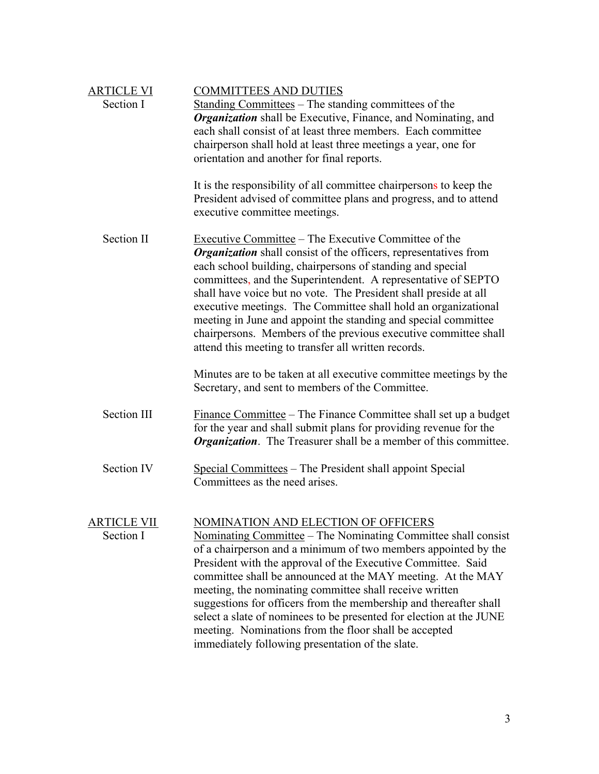| <b>ARTICLE VI</b>               | <b>COMMITTEES AND DUTIES</b>                                                                                                                                                                                                                                                                                                                                                                                                                                                                                                                                                                                                     |
|---------------------------------|----------------------------------------------------------------------------------------------------------------------------------------------------------------------------------------------------------------------------------------------------------------------------------------------------------------------------------------------------------------------------------------------------------------------------------------------------------------------------------------------------------------------------------------------------------------------------------------------------------------------------------|
| Section I                       | Standing Committees – The standing committees of the<br><b>Organization</b> shall be Executive, Finance, and Nominating, and<br>each shall consist of at least three members. Each committee<br>chairperson shall hold at least three meetings a year, one for<br>orientation and another for final reports.                                                                                                                                                                                                                                                                                                                     |
|                                 | It is the responsibility of all committee chairpersons to keep the<br>President advised of committee plans and progress, and to attend<br>executive committee meetings.                                                                                                                                                                                                                                                                                                                                                                                                                                                          |
| <b>Section II</b>               | Executive Committee – The Executive Committee of the<br><b>Organization</b> shall consist of the officers, representatives from<br>each school building, chairpersons of standing and special<br>committees, and the Superintendent. A representative of SEPTO<br>shall have voice but no vote. The President shall preside at all<br>executive meetings. The Committee shall hold an organizational<br>meeting in June and appoint the standing and special committee<br>chairpersons. Members of the previous executive committee shall<br>attend this meeting to transfer all written records.                                |
|                                 | Minutes are to be taken at all executive committee meetings by the<br>Secretary, and sent to members of the Committee.                                                                                                                                                                                                                                                                                                                                                                                                                                                                                                           |
| Section III                     | <u>Finance Committee</u> – The Finance Committee shall set up a budget<br>for the year and shall submit plans for providing revenue for the<br><b>Organization</b> . The Treasurer shall be a member of this committee.                                                                                                                                                                                                                                                                                                                                                                                                          |
| <b>Section IV</b>               | Special Committees – The President shall appoint Special<br>Committees as the need arises.                                                                                                                                                                                                                                                                                                                                                                                                                                                                                                                                       |
| <u>ARTICLE VII</u><br>Section I | NOMINATION AND ELECTION OF OFFICERS<br><u>Nominating Committee</u> – The Nominating Committee shall consist<br>of a chairperson and a minimum of two members appointed by the<br>President with the approval of the Executive Committee. Said<br>committee shall be announced at the MAY meeting. At the MAY<br>meeting, the nominating committee shall receive written<br>suggestions for officers from the membership and thereafter shall<br>select a slate of nominees to be presented for election at the JUNE<br>meeting. Nominations from the floor shall be accepted<br>immediately following presentation of the slate. |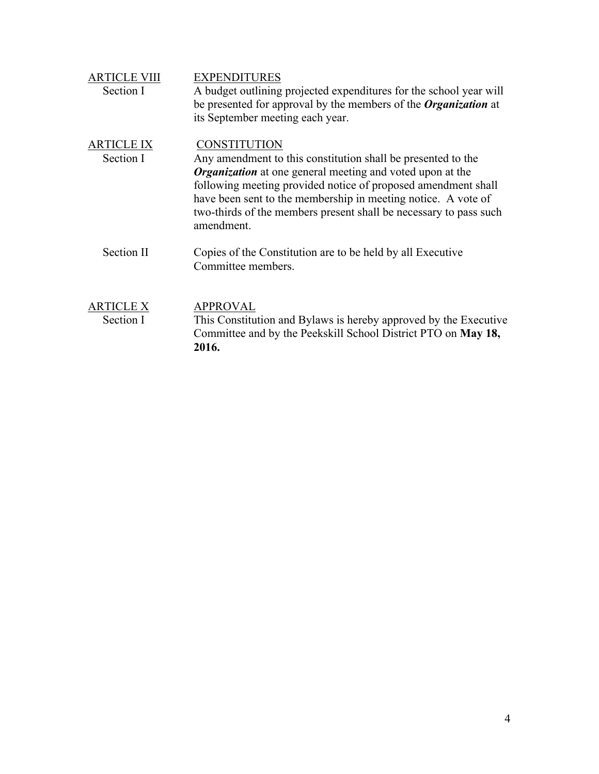| <b>ARTICLE VIII</b><br>Section I | <b>EXPENDITURES</b><br>A budget outlining projected expenditures for the school year will<br>be presented for approval by the members of the <i>Organization</i> at<br>its September meeting each year.                                                                                                                                                                      |
|----------------------------------|------------------------------------------------------------------------------------------------------------------------------------------------------------------------------------------------------------------------------------------------------------------------------------------------------------------------------------------------------------------------------|
| <b>ARTICLE IX</b><br>Section I   | <b>CONSTITUTION</b><br>Any amendment to this constitution shall be presented to the<br><b>Organization</b> at one general meeting and voted upon at the<br>following meeting provided notice of proposed amendment shall<br>have been sent to the membership in meeting notice. A vote of<br>two-thirds of the members present shall be necessary to pass such<br>amendment. |
| <b>Section II</b>                | Copies of the Constitution are to be held by all Executive<br>Committee members.                                                                                                                                                                                                                                                                                             |
| <b>ARTICLE X</b><br>Section I    | <b>APPROVAL</b><br>This Constitution and Bylaws is hereby approved by the Executive<br>Committee and by the Peekskill School District PTO on May 18,<br>2016.                                                                                                                                                                                                                |